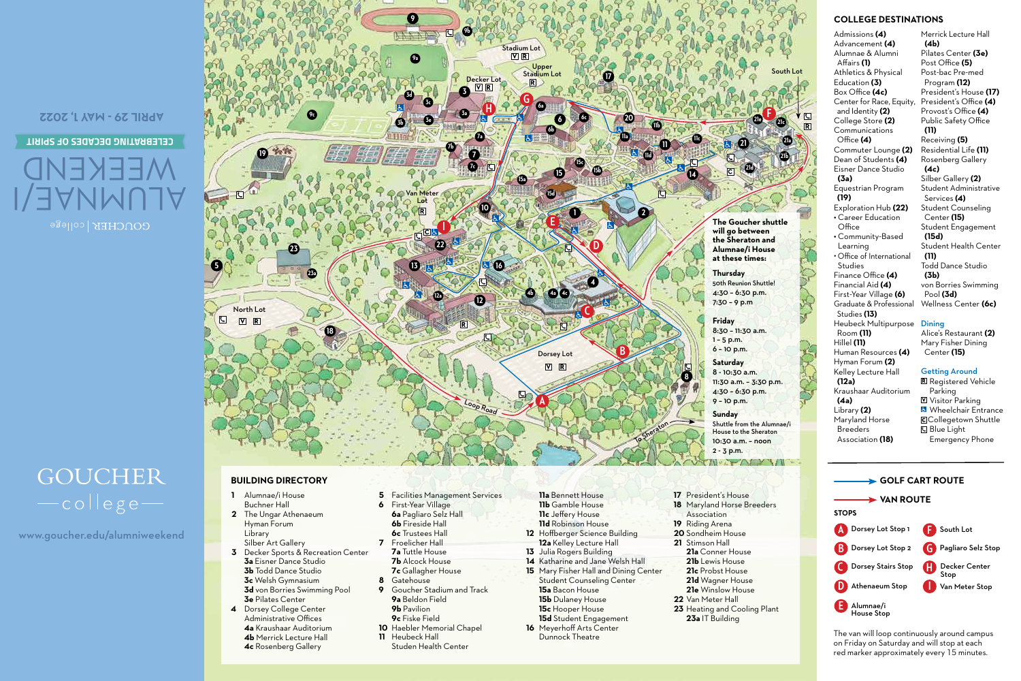**APRIL 29 - MAY 1, 2022**

#### **CELEBRATING DECADES OF SPIRIT**

# ALUMNAE/I WEEKEND

## **GOUCHER** -college-

www.goucher.edu/alumniweekend



## **BUILDING DIRECTORY**

#### **1** Alumnae/i House Buchner Hall

- **2** The Ungar Athenaeum Hyman Forum Library Silber Art Gallery
- **3** Decker Sports & Recreation Center **3a** Eisner Dance Studio **3b** Todd Dance Studio **3c** Welsh Gymnasium
- **3d** von Borries Swimming Pool **3e** Pilates Center
- **4** Dorsey College Center Administrative Offices **4a** Kraushaar Auditorium **4b** Merrick Lecture Hall **4c** Rosenberg Gallery
- **5** Facilities Management Services
- **6** First-Year Village
- **6a** Pagliaro Selz Hall
- **6b** Fireside Hall
- **6c** Trustees Hall **7** Froelicher Hall
	- **7a** Tuttle House
	- **7b** Alcock House
	- **7c** Gallagher House
- **8** Gatehouse
- **9** Goucher Stadium and Track **9a** Beldon Field
- **9b** Pavilion
- **9c** Fiske Field
- **10** Haebler Memorial Chapel
- **11** Heubeck Hall
- Studen Health Center
- **11a** Bennett House **11b** Gamble House **11c** Jeffery House **11d** Robinson House **12** Hoffberger Science Building
- **12a** Kelley Lecture Hall **13** Julia Rogers Building
- **14** Katharine and Jane Welsh Hall
- **15** Mary Fisher Hall and Dining Center Student Counseling Center **15a** Bacon House **15b** Dulaney House **15c** Hooper House **15d** Student Engagement
- **16** Meyerhoff Arts Center Dunnock Theatre

## **17** President's House

- **18** Maryland Horse Breeders
	- Association
- **19** Riding Arena
- **20** Sondheim House
- **21** Stimson Hall
	- **21a** Conner House
	- **21b** Lewis House
	- **21c** Probst House
- **21d** Wagner House
- **21e** Winslow House
- **22** Van Meter Hall **23** Heating and Cooling Plant
	- **23a** IT Building
- 

**21a 21b**

#### **COLLEGE DESTINATIONS**

Admissions **(4)** Advancement **(4)** Alumnae & Alumni Affairs **(1)** Athletics & Physical Education **(3)** Box Office **(4c)**  Center for Race, Equity, and Identity **(2)** College Store **(2)** Communications Office **(4)** Commuter Lounge **(2)** Dean of Students **(4)** Eisner Dance Studio  **(3a)** Equestrian Program **(19)** Exploration Hub **(22) •** Career Education **Office •** Community-Based Learning • Office of International Studies Finance Office **(4)** Financial Aid **(4)** First-Year Village **(6)** Graduate & Professional Studies **(13)** Heubeck Multipurpose Room **(11)** Hillel **(11)** Human Resources **(4)** Hyman Forum **(2)** Kelley Lecture Hall **(12a)** Kraushaar Auditorium **(4a)** Library **(2)** Maryland Horse Breeders Merrick Lecture Hall  **(4b)** Pilates Center **(3e)** Post Office **(5)** Post-bac Pre-med Program **(12)** President's House **(17)** President's Office **(4)** Provost's Office **(4)** Public Safety Office **(11)** Receiving **(5)** Residential Life **(11)** Rosenberg Gallery **(4c)** Silber Gallery **(2)** Student Administrative Services **(4)** Student Counseling Center **(15)**  Student Engagement **(15d)** Student Health Center **(11)** Todd Dance Studio **(3b)** von Borries Swimming Pool **(3d)** Wellness Center **(6c)** Dining Alice's Restaurant **(2)** Mary Fisher Dining Center **(15)** Getting Around R Registered Vehicle Parking Visitor Parking **Wheelchair Entrance C**Collegetown Shuttle **Blue Light** 



Emergency Phone

Association **(18)**

The van will loop continuously around campus on Friday on Saturday and will stop at each red marker approximately every 15 minutes.